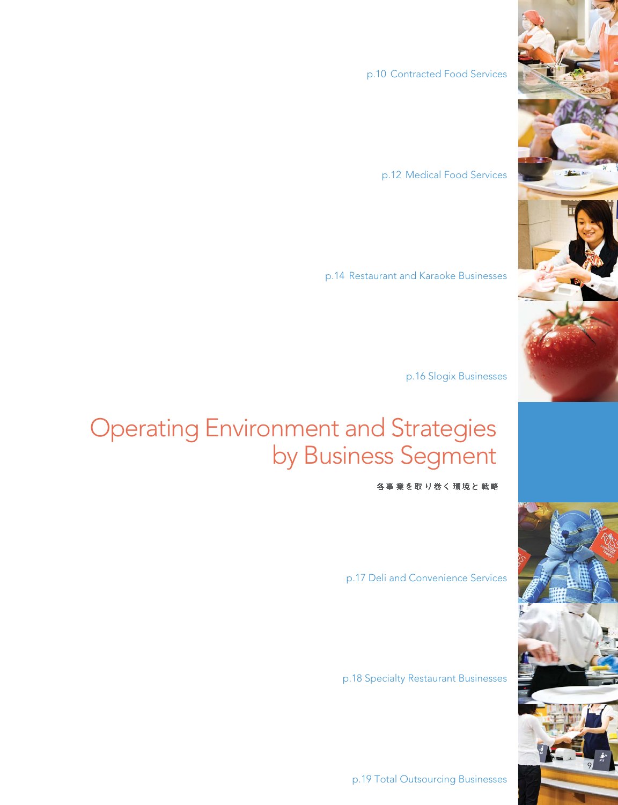p.10 Contracted Food Services

p.12 Medical Food Services

p.14 Restaurant and Karaoke Businesses

p.16 Slogix Businesses

## Operating Environment and Strategies by Business Segment

各事業を取り巻く環境と戦略

p.17 Deli and Convenience Services

p.18 Specialty Restaurant Businesses

p.19 Total Outsourcing Businesses



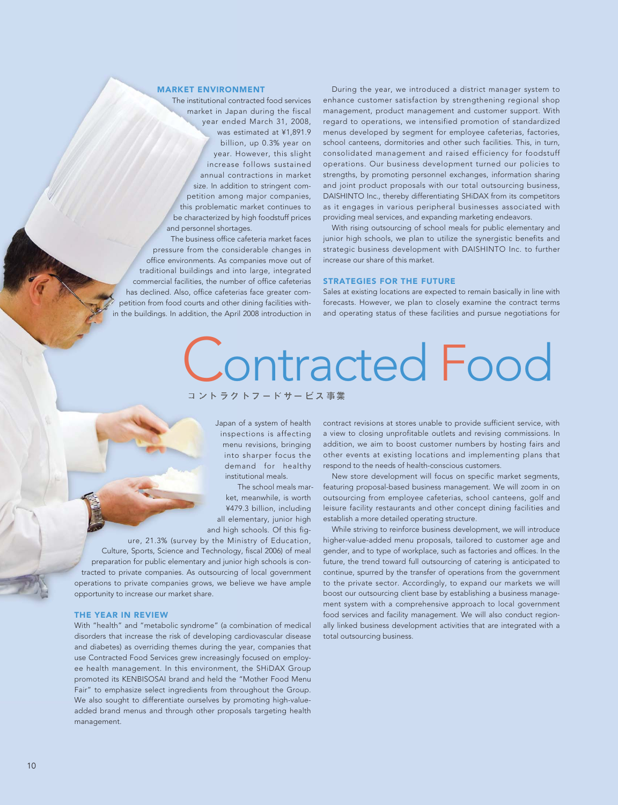### MARKET ENVIRONMENT

The institutional contracted food services market in Japan during the fiscal year ended March 31, 2008, was estimated at ¥1,891.9 billion, up 0.3% year on year. However, this slight increase follows sustained annual contractions in market size. In addition to stringent competition among major companies, this problematic market continues to be characterized by high foodstuff prices and personnel shortages.

The business office cafeteria market faces pressure from the considerable changes in office environments. As companies move out of traditional buildings and into large, integrated commercial facilities, the number of office cafeterias has declined. Also, office cafeterias face greater competition from food courts and other dining facilities within the buildings. In addition, the April 2008 introduction in

During the year, we introduced a district manager system to enhance customer satisfaction by strengthening regional shop management, product management and customer support. With regard to operations, we intensified promotion of standardized menus developed by segment for employee cafeterias, factories, school canteens, dormitories and other such facilities. This, in turn, consolidated management and raised efficiency for foodstuff operations. Our business development turned our policies to strengths, by promoting personnel exchanges, information sharing and joint product proposals with our total outsourcing business, DAISHINTO Inc., thereby differentiating SHiDAX from its competitors as it engages in various peripheral businesses associated with providing meal services, and expanding marketing endeavors.

With rising outsourcing of school meals for public elementary and junior high schools, we plan to utilize the synergistic benefits and strategic business development with DAISHINTO Inc. to further increase our share of this market.

#### STRATEGIES FOR THE FUTURE

Sales at existing locations are expected to remain basically in line with forecasts. However, we plan to closely examine the contract terms and operating status of these facilities and pursue negotiations for

# Contracted Food

Japan of a system of health inspections is affecting menu revisions, bringing into sharper focus the demand for healthy institutional meals.

The school meals market, meanwhile, is worth ¥479.3 billion, including all elementary, junior high and high schools. Of this fig-

ure, 21.3% (survey by the Ministry of Education, Culture, Sports, Science and Technology, fiscal 2006) of meal preparation for public elementary and junior high schools is contracted to private companies. As outsourcing of local government operations to private companies grows, we believe we have ample opportunity to increase our market share.

#### THE YEAR IN REVIEW

With "health" and "metabolic syndrome" (a combination of medical disorders that increase the risk of developing cardiovascular disease and diabetes) as overriding themes during the year, companies that use Contracted Food Services grew increasingly focused on employee health management. In this environment, the SHiDAX Group promoted its KENBISOSAI brand and held the "Mother Food Menu Fair" to emphasize select ingredients from throughout the Group. We also sought to differentiate ourselves by promoting high-valueadded brand menus and through other proposals targeting health management.

contract revisions at stores unable to provide sufficient service, with a view to closing unprofitable outlets and revising commissions. In addition, we aim to boost customer numbers by hosting fairs and other events at existing locations and implementing plans that respond to the needs of health-conscious customers.

New store development will focus on specific market segments, featuring proposal-based business management. We will zoom in on outsourcing from employee cafeterias, school canteens, golf and leisure facility restaurants and other concept dining facilities and establish a more detailed operating structure.

While striving to reinforce business development, we will introduce higher-value-added menu proposals, tailored to customer age and gender, and to type of workplace, such as factories and offices. In the future, the trend toward full outsourcing of catering is anticipated to continue, spurred by the transfer of operations from the government to the private sector. Accordingly, to expand our markets we will boost our outsourcing client base by establishing a business management system with a comprehensive approach to local government food services and facility management. We will also conduct regionally linked business development activities that are integrated with a total outsourcing business.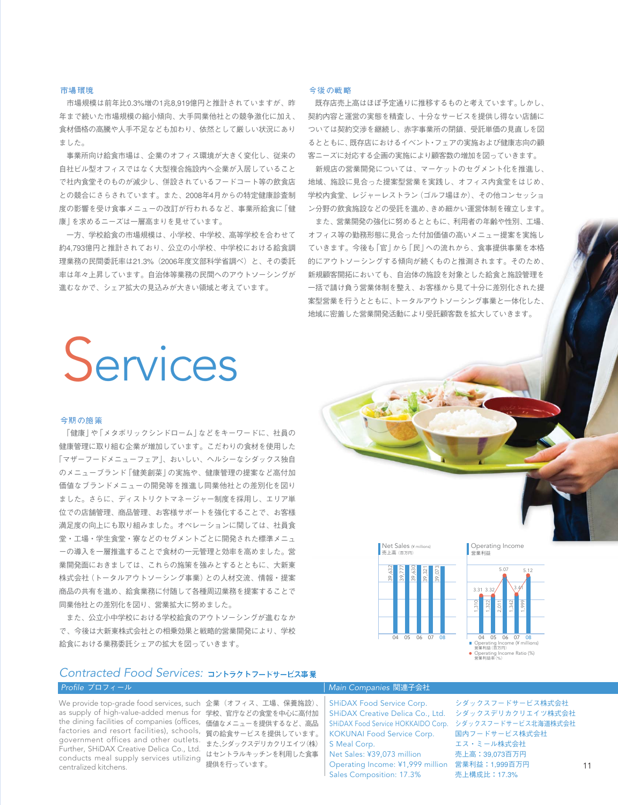#### 市場環境

市場規模は前年比0.3%増の1兆8,919億円と推計されていますが、昨 年まで続いた市場規模の縮小傾向、大手同業他社との競争激化に加え、 食材価格の高騰や人手不足なども加わり、依然として厳しい状況にあり ました。

事業所向け給食市場は、企業のオフィス環境が大きく変化し、従来の 自社ビル型オフィスではなく大型複合施設内へ企業が入居していること で社内食堂そのものが減少し、併設されているフードコート等の飲食店 との競合にさらされています。また、2008年4月からの特定健康診査制 度の影響を受け食事メニューの改訂が行われるなど、事業所給食に「健 康」を求めるニーズは一層高まりを見せています。

一方、学校給食の市場規模は、小学校、中学校、高等学校を合わせて 約4,793億円と推計されており、公立の小学校、中学校における給食調 理業務の民間委託率は21.3%(2006年度文部科学省調べ)と、その委託 率は年々上昇しています。自治体等業務の民間へのアウトソーシングが 進むなかで、シェア拡大の見込みが大きい領域と考えています。

#### 今後の戦略

既存店売上高はほぼ予定通りに推移するものと考えています。しかし、 契約内容と運営の実態を精査し、十分なサービスを提供し得ない店舗に ついては契約交渉を継続し、赤字事業所の閉鎖、受託単価の見直しを図 るとともに、既存店におけるイベント・フェアの実施および健康志向の顧 客ニーズに対応する企画の実施により顧客数の増加を図っていきます。

新規店の営業開発については、マーケットのセグメント化を推進し、 地域、施設に見合った提案型営業を実践し、オフィス内食堂をはじめ、 学校内食堂、レジャーレストラン(ゴルフ場ほか)、その他コンセッショ ン分野の飲食施設などの受託を進め、きめ細かい運営体制を確立します。

また、営業開発の強化に努めるとともに、利用者の年齢や性別、工場、 オフィス等の勤務形態に見合った付加価値の高いメニュー提案を実施し ていきます。今後も「官」から「民」への流れから、食事提供事業を本格 的にアウトソーシングする傾向が続くものと推測されます。そのため、 新規顧客開拓においても、自治体の施設を対象とした給食と施設管理を 一括で請け負う営業体制を整え、お客様から見て十分に差別化された提 案型営業を行うとともに、トータルアウトソーシング事業と一体化した、 地域に密着した営業開発活動により受託顧客数を拡大していきます。

## Services

#### 今期の施策

「健康」や「メタボリックシンドローム」などをキーワードに、社員の 健康管理に取り組む企業が増加しています。こだわりの食材を使用した 「マザーフードメニューフェア」、おいしい、ヘルシーなシダックス独自 のメニューブランド「健美創菜」の実施や、健康管理の提案など高付加 価値なブランドメニューの開発等を推進し同業他社との差別化を図り ました。さらに、ディストリクトマネージャー制度を採用し、エリア単 位での店舗管理、商品管理、お客様サポートを強化することで、お客様 満足度の向上にも取り組みました。オペレーションに関しては、社員食 堂・工場・学生食堂・寮などのセグメントごとに開発された標準メニュ ーの導入を一層推進することで食材の一元管理と効率を高めました。営 業開発面におきましては、これらの施策を強みとするとともに、大新東 株式会社(トータルアウトソーシング事業)との人材交流、情報・提案 商品の共有を進め、給食業務に付随して各種周辺業務を提案することで 同業他社との差別化を図り、営業拡大に努めました。

また、公立小中学校における学校給食のアウトソーシングが進むなか で、今後は大新東株式会社との相乗効果と戦略的営業開発により、学校 給食における業務委託シェアの拡大を図っていきます。



Operating Income 営業利益



## *Contracted Food Services:*

We provide top-grade food services, such 企業(オフィス、工場、保養施設)、 as supply of high-value-added menus for 学校、官庁などの食堂を中心に高付加 the dining facilities of companies (offices,価値なメニューを提供するなど、高品 factories and resort facilities), schools, <sub>質の給食サービスを提供しています。</sub> government offices and other outlets.<br>Eurlien SUIDAY Creative Delise Coulded またシダックスデリカクリエイツ(株) 提供を行っています。 conducts meal supply services utilizing Further, SHiDAX Creative Delica Co., Ltd. centralized kitchens.

はセントラルキッチンを利用した食事

### *Profile* プロフィール *Main Companies* 関連子会社

SHiDAX Food Service Corp. SHiDAX Creative Delica Co., Ltd. SHiDAX Food Service HOKKAIDO Corp. KOKUNAI Food Service Corp. S Meal Corp. Net Sales: ¥39,073 million

Operating Income: ¥1,999 million 営業利益:1,999百万円 Sales Composition: 17.3%

シダックスフードサービス株式会社 シダックスデリカクリエイツ株式会社 シダックスフードサービス北海道株式会社 国内フードサービス株式会社 エス・ミール株式会社 売上高:39,073百万円 売上構成比:17.3%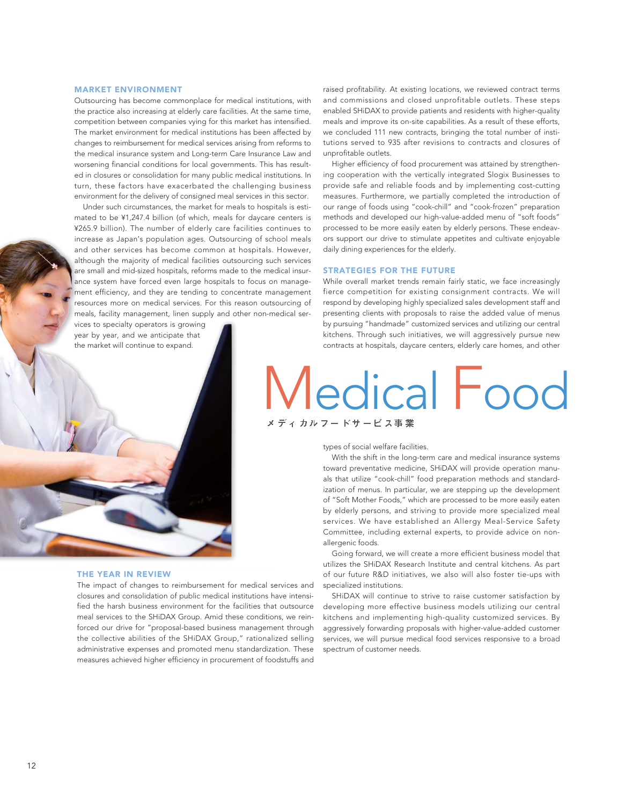#### MARKET ENVIRONMENT

Outsourcing has become commonplace for medical institutions, with the practice also increasing at elderly care facilities. At the same time, competition between companies vying for this market has intensified. The market environment for medical institutions has been affected by changes to reimbursement for medical services arising from reforms to the medical insurance system and Long-term Care Insurance Law and worsening financial conditions for local governments. This has resulted in closures or consolidation for many public medical institutions. In turn, these factors have exacerbated the challenging business environment for the delivery of consigned meal services in this sector.

Under such circumstances, the market for meals to hospitals is estimated to be ¥1,247.4 billion (of which, meals for daycare centers is ¥265.9 billion). The number of elderly care facilities continues to increase as Japan's population ages. Outsourcing of school meals and other services has become common at hospitals. However, although the majority of medical facilities outsourcing such services are small and mid-sized hospitals, reforms made to the medical insurance system have forced even large hospitals to focus on management efficiency, and they are tending to concentrate management resources more on medical services. For this reason outsourcing of meals, facility management, linen supply and other non-medical ser-

vices to specialty operators is growing year by year, and we anticipate that the market will continue to expand.

raised profitability. At existing locations, we reviewed contract terms and commissions and closed unprofitable outlets. These steps enabled SHiDAX to provide patients and residents with higher-quality meals and improve its on-site capabilities. As a result of these efforts, we concluded 111 new contracts, bringing the total number of institutions served to 935 after revisions to contracts and closures of unprofitable outlets.

Higher efficiency of food procurement was attained by strengthening cooperation with the vertically integrated Slogix Businesses to provide safe and reliable foods and by implementing cost-cutting measures. Furthermore, we partially completed the introduction of our range of foods using "cook-chill" and "cook-frozen" preparation methods and developed our high-value-added menu of "soft foods" processed to be more easily eaten by elderly persons. These endeavors support our drive to stimulate appetites and cultivate enjoyable daily dining experiences for the elderly.

#### STRATEGIES FOR THE FUTURE

While overall market trends remain fairly static, we face increasingly fierce competition for existing consignment contracts. We will respond by developing highly specialized sales development staff and presenting clients with proposals to raise the added value of menus by pursuing "handmade" customized services and utilizing our central kitchens. Through such initiatives, we will aggressively pursue new contracts at hospitals, daycare centers, elderly care homes, and other

# Medical Food

types of social welfare facilities.

With the shift in the long-term care and medical insurance systems toward preventative medicine, SHiDAX will provide operation manuals that utilize "cook-chill" food preparation methods and standardization of menus. In particular, we are stepping up the development of "Soft Mother Foods," which are processed to be more easily eaten by elderly persons, and striving to provide more specialized meal services. We have established an Allergy Meal-Service Safety Committee, including external experts, to provide advice on nonallergenic foods.

Going forward, we will create a more efficient business model that utilizes the SHiDAX Research Institute and central kitchens. As part of our future R&D initiatives, we also will also foster tie-ups with specialized institutions.

SHiDAX will continue to strive to raise customer satisfaction by developing more effective business models utilizing our central kitchens and implementing high-quality customized services. By aggressively forwarding proposals with higher-value-added customer services, we will pursue medical food services responsive to a broad spectrum of customer needs.

#### THE YEAR IN REVIEW

The impact of changes to reimbursement for medical services and closures and consolidation of public medical institutions have intensified the harsh business environment for the facilities that outsource meal services to the SHiDAX Group. Amid these conditions, we reinforced our drive for "proposal-based business management through the collective abilities of the SHiDAX Group," rationalized selling administrative expenses and promoted menu standardization. These measures achieved higher efficiency in procurement of foodstuffs and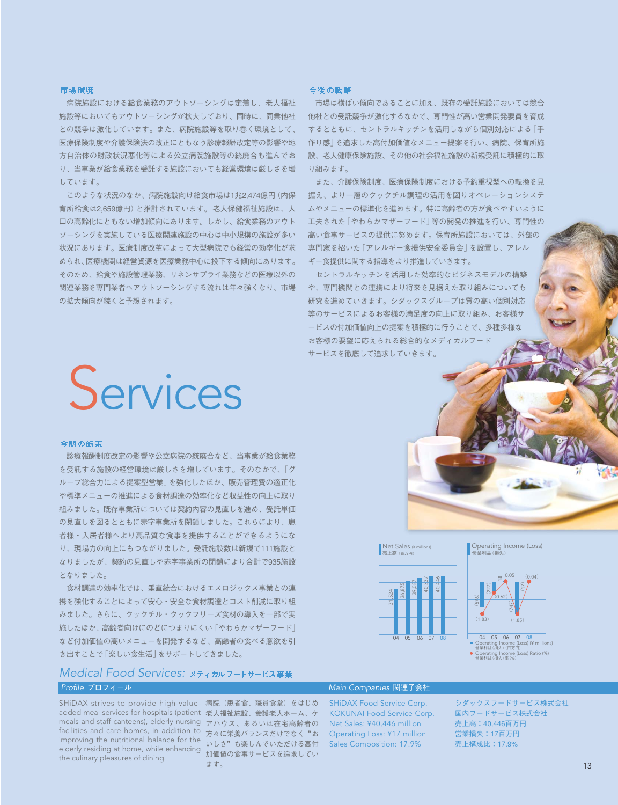#### 市場覆接

病院施設における給食業務のアウトソーシングは定着し、老人福祉 施設等においてもアウトソーシングが拡大しており、同時に、同業他社 との競争は激化しています。また、病院施設等を取り巻く環境として、 医療保険制度や介護保険法の改正にともなう診療報酬改定等の影響や地 方自治体の財政状況悪化等による公立病院施設等の統廃合も進んでお り、当事業が給食業務を受託する施設においても経営環境は厳しさを増 しています。

このような状況のなか、病院施設向け給食市場は1兆2,474億円(内保 育所給食は2,659億円)と推計されています。老人保健福祉施設は、人 口の高齢化にともない増加傾向にあります。しかし、給食業務のアウト ソーシングを実施している医療関連施設の中心は中小規模の施設が多い 状況にあります。医療制度改革によって大型病院でも経営の効率化が求 められ、医療機関は経営資源を医療業務中心に投下する傾向にあります。 そのため、給食や施設管理業務、リネンサプライ業務などの医療以外の 関連業務を専門業者へアウトソーシングする流れは年々強くなり、市場 の拡大傾向が続くと予想されます。

#### 今後の戦略

市場は横ばい傾向であることに加え、既存の受託施設においては競合 他社との受託競争が激化するなかで、専門性が高い営業開発要員を育成 するとともに、セントラルキッチンを活用しながら個別対応による「手 作り感」を追求した高付加価値なメニュー提案を行い、病院、保育所施 設、老人健康保険施設、その他の社会福祉施設の新規受託に積極的に取 り組みます。

また、介護保険制度、医療保険制度における予約重視型への転換を見 据え、より一層のクックチル調理の活用を図りオペレーションシステ ムやメニューの標準化を進めます。特に高齢者の方が食べやすいように 工夫された「やわらかマザーフード」等の開発の推進を行い、専門性の 高い食事サービスの提供に努めます。保育所施設においては、外部の 専門家を招いた「アレルギー食提供安全委員会」を設置し、アレル ギー食提供に関する指導をより推進していきます。

セントラルキッチンを活用した効率的なビジネスモデルの構築 や、専門機関との連携により将来を見据えた取り組みについても 研究を進めていきます。シダックスグループは質の高い個別対応 等のサービスによるお客様の満足度の向上に取り組み、お客様サ ービスの付加価値向上の提案を積極的に行うことで、多種多様な お客様の要望に応えられる総合的なメディカルフード サービスを徹底して追求していきます。

# **Services**

#### 今期の施策

診療報酬制度改定の影響や公立病院の統廃合など、当事業が給食業務 を受託する施設の経営環境は厳しさを増しています。そのなかで、「グ ループ総合力による提案型営業」を強化したほか、販売管理費の適正化 や標準メニューの推進による食材調達の効率化など収益性の向上に取り 組みました。既存事業所については契約内容の見直しを進め、受託単価 の見直しを図るとともに赤字事業所を閉鎖しました。これらにより、患 者様・入居者様へより高品質な食事を提供することができるようにな り、現場力の向上にもつながりました。受託施設数は新規で111施設と なりましたが、契約の見直しや赤字事業所の閉鎖により合計で935施設 となりました。

食材調達の効率化では、垂直統合におけるエスロジックス事業との連 携を強化することによって安心・安全な食材調達とコスト削減に取り組 みました。さらに、クックチル・クックフリーズ食材の導入を一部で実 施したほか、高齢者向けにのどにつまりにくい「やわらかマザーフード」 など付加価値の高いメニューを開発するなど、高齢者の食べる意欲を引 き出すことで「楽しい食生活」をサポートしてきました。



SHiDAX strives to provide high-value- 病院(患者食、職員食堂)をはじめ added meal services for hospitals (patient 老人福祉施設、養護老人ホーム、ケ meals and staff canteens), elderly nursing アハウス、あるいは在宅高齢者の facilities and care homes, in addition to 方々に栄養バランスだけでなく"お improving the nutritional balance for the いしさ"も楽しんでいただける高付 elderly residing at home, while enhancing ここ これらんていただけ。<br>the culinary pleasures of dining the culinary pleasures of dining.

ます。

SHiDAX Food Service Corp. KOKUNAI Food Service Corp. Net Sales: ¥40,446 million Operating Loss: ¥17 million Sales Composition: 17.9%

シダックスフードサービス株式会社 国内フードサービス株式会社 売上高:40,446百万円 営業損失:17百万円 売上構成比:17.9%



Net Sales ( $\frac{1}{100}$ 

売上高(百万円)

Operating Income (Loss) 営業利益(損失)  $(0.04)$ 



04 05 06 07 08 Operating Income (Loss) (¥ millions) Operating Income (L<br>営業利益 (損失) (百万円)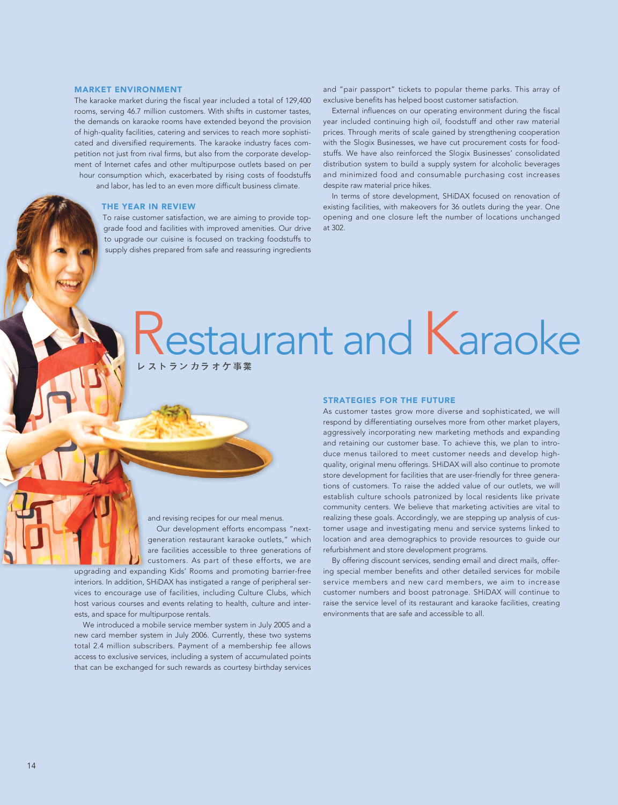#### MARKET ENVIRONMENT

The karaoke market during the fiscal year included a total of 129,400 rooms, serving 46.7 million customers. With shifts in customer tastes, the demands on karaoke rooms have extended beyond the provision of high-quality facilities, catering and services to reach more sophisticated and diversified requirements. The karaoke industry faces competition not just from rival firms, but also from the corporate development of Internet cafes and other multipurpose outlets based on per hour consumption which, exacerbated by rising costs of foodstuffs and labor, has led to an even more difficult business climate.

THE YEAR IN REVIEW

To raise customer satisfaction, we are aiming to provide topgrade food and facilities with improved amenities. Our drive to upgrade our cuisine is focused on tracking foodstuffs to supply dishes prepared from safe and reassuring ingredients

and "pair passport" tickets to popular theme parks. This array of exclusive benefits has helped boost customer satisfaction.

External influences on our operating environment during the fiscal year included continuing high oil, foodstuff and other raw material prices. Through merits of scale gained by strengthening cooperation with the Slogix Businesses, we have cut procurement costs for foodstuffs. We have also reinforced the Slogix Businesses' consolidated distribution system to build a supply system for alcoholic beverages and minimized food and consumable purchasing cost increases despite raw material price hikes.

In terms of store development, SHiDAX focused on renovation of existing facilities, with makeovers for 36 outlets during the year. One opening and one closure left the number of locations unchanged at 302.

# estaurant and Karaoke

and revising recipes for our meal menus.

Our development efforts encompass "nextgeneration restaurant karaoke outlets," which are facilities accessible to three generations of customers. As part of these efforts, we are

upgrading and expanding Kids' Rooms and promoting barrier-free interiors. In addition, SHiDAX has instigated a range of peripheral services to encourage use of facilities, including Culture Clubs, which host various courses and events relating to health, culture and interests, and space for multipurpose rentals.

We introduced a mobile service member system in July 2005 and a new card member system in July 2006. Currently, these two systems total 2.4 million subscribers. Payment of a membership fee allows access to exclusive services, including a system of accumulated points that can be exchanged for such rewards as courtesy birthday services

#### STRATEGIES FOR THE FUTURE

As customer tastes grow more diverse and sophisticated, we will respond by differentiating ourselves more from other market players, aggressively incorporating new marketing methods and expanding and retaining our customer base. To achieve this, we plan to introduce menus tailored to meet customer needs and develop highquality, original menu offerings. SHiDAX will also continue to promote store development for facilities that are user-friendly for three generations of customers. To raise the added value of our outlets, we will establish culture schools patronized by local residents like private community centers. We believe that marketing activities are vital to realizing these goals. Accordingly, we are stepping up analysis of customer usage and investigating menu and service systems linked to location and area demographics to provide resources to guide our refurbishment and store development programs.

By offering discount services, sending email and direct mails, offering special member benefits and other detailed services for mobile service members and new card members, we aim to increase customer numbers and boost patronage. SHiDAX will continue to raise the service level of its restaurant and karaoke facilities, creating environments that are safe and accessible to all.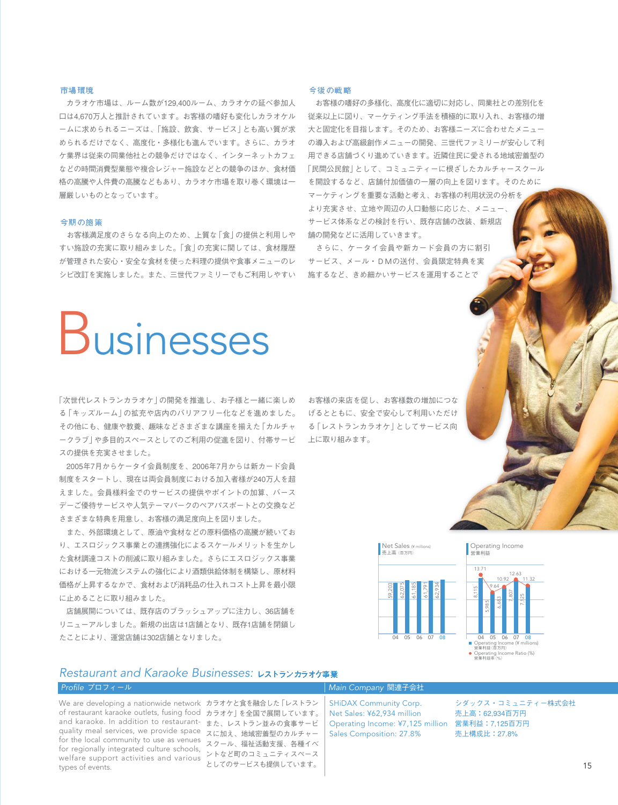#### 市場覆接

カラオケ市場は、ルーム数が129,400ルーム、カラオケの延べ参加人 口は4,670万人と推計されています。お客様の嗜好も変化しカラオケル ームに求められるニーズは、「施設、飲食、サービス」とも高い質が求 められるだけでなく、高度化・多様化も進んでいます。さらに、カラオ ケ業界は従来の同業他社との競争だけではなく、インターネットカフェ などの時間消費型業態や複合レジャー施設などとの競争のほか、食材価 格の高騰や人件費の高騰などもあり、カラオケ市場を取り巻く環境は一 層厳しいものとなっています。

#### 今期の施策

お客様満足度のさらなる向上のため、上質な「食」の提供と利用しや すい施設の充実に取り組みました。「食」の充実に関しては、食材履歴 が管理された安心・安全な食材を使った料理の提供や食事メニューのレ シピ改訂を実施しました。また、三世代ファミリーでもご利用しやすい

#### 今後の戦略

お客様の嗜好の多様化、高度化に適切に対応し、同業社との差別化を 従来以上に図り、マーケティング手法を積極的に取り入れ、お客様の増 大と固定化を目指します。そのため、お客様ニーズに合わせたメニュー の導入および高級創作メニューの開発、三世代ファミリーが安心して利 用できる店舗づくり進めていきます。近隣住民に愛される地域密着型の 「民間公民館」として、コミュニティーに根ざしたカルチャースクール を開設するなど、店舗付加価値の一層の向上を図ります。そのために マーケティングを重要な活動と考え、お客様の利用状況の分析を より充実させ、立地や周辺の人口動態に応じた、メニュー、 サービス体系などの検討を行い、既存店舗の改装、新規店 舗の開発などに活用していきます。

さらに、ケータイ会員や新カード会員の方に割引 サービス、メール・DMの送付、会員限定特典を実 施するなど、きめ細かいサービスを運用することで

## Businesses

「次世代レストランカラオケ」の開発を推進し、お子様と一緒に楽しめ る「キッズルーム」の拡充や店内のバリアフリー化などを進めました。 その他にも、健康や教養、趣味などさまざまな講座を揃えた「カルチャ ークラブ」や多目的スペースとしてのご利用の促進を図り、付帯サービ スの提供を充実させました。

2005年7月からケータイ会員制度を、2006年7月からは新カード会員 制度をスタートし、現在は両会員制度における加入者様が240万人を超 えました。会員様料金でのサービスの提供やポイントの加算、バース デーご優待サービスや人気テーマパークのペアパスポートとの交換など さまざまな特典を用意し、お客様の満足度向上を図りました。

また、外部環境として、原油や食材などの原料価格の高騰が続いてお り、エスロジックス事業との連携強化によるスケールメリットを生かし た食材調達コストの削減に取り組みました。さらにエスロジックス事業 における一元物流システムの強化により酒類供給体制を構築し、原材料 価格が上昇するなかで、食材および消耗品の仕入れコスト上昇を最小限 に止めることに取り組みました。

店舗展開については、既存店のブラッシュアップに注力し、36店舗を リニューアルしました。新規の出店は1店舗となり、既存1店舗を閉鎖し たことにより、運営店舗は302店舗となりました。

お客様の来店を促し、お客様数の増加につな げるとともに、安全で安心して利用いただけ る「レストランカラオケ」としてサービス向 上に取り組みます。



Operating Income<br>営業利益



### *Restaurant and Karaoke Businesses:*

## *Profile* プロフィール *Main Company* 関連子会社

of restaurant karaoke outlets, fusing food カラオケ」を全国で展開しています。 and karaoke. In addition to restaurant- また、レストラン並みの食事サービ quality meal services, we provide space スに加え、地域密着型のカルチャー for the local community to use as venues<br>for service like intermated submer selectly スクール、福祉活動支援、各種イベ for regionally integrated culture schools, welfare support activities and various types of events.

We are developing a nationwide network カラオケと食を融合した 「レストラン ントなど町のコミュニティスペース としてのサービスも提供しています。

Operating Income: ¥7,125 million 営業利益:7,125百万円 SHiDAX Community Corp. Net Sales: ¥62,934 million Sales Composition: 27.8%

シダックス・コミュニティー株式会社 売上高:62,934百万円 売上構成比:27.8%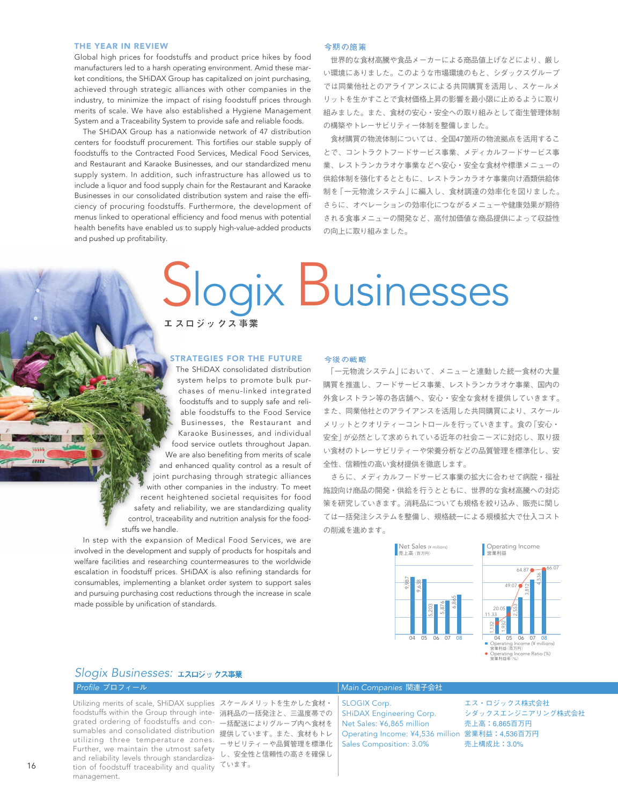Global high prices for foodstuffs and product price hikes by food manufacturers led to a harsh operating environment. Amid these market conditions, the SHiDAX Group has capitalized on joint purchasing, achieved through strategic alliances with other companies in the industry, to minimize the impact of rising foodstuff prices through merits of scale. We have also established a Hygiene Management System and a Traceability System to provide safe and reliable foods.

The SHiDAX Group has a nationwide network of 47 distribution centers for foodstuff procurement. This fortifies our stable supply of foodstuffs to the Contracted Food Services, Medical Food Services, and Restaurant and Karaoke Businesses, and our standardized menu supply system. In addition, such infrastructure has allowed us to include a liquor and food supply chain for the Restaurant and Karaoke Businesses in our consolidated distribution system and raise the efficiency of procuring foodstuffs. Furthermore, the development of menus linked to operational efficiency and food menus with potential health benefits have enabled us to supply high-value-added products and pushed up profitability.

#### 今期の施策

世界的な食材高騰や食品メーカーによる商品値上げなどにより、厳し い環境にありました。このような市場環境のもと、シダックスグループ では同業他社とのアライアンスによる共同購買を活用し、スケールメ リットを生かすことで食材価格上昇の影響を最小限に止めるように取り 組みました。また、食材の安心・安全への取り組みとして衛生管理体制 の構築やトレーサビリティー体制を整備しました。

食材購買の物流体制については、全国47箇所の物流拠点を活用するこ とで、コントラクトフードサービス事業、メディカルフードサービス事 業、レストランカラオケ事業などへ安心・安全な食材や標準メニューの 供給体制を強化するとともに、レストランカラオケ事業向け酒類供給体 制を「一元物流システム」に編入し、食材調達の効率化を図りました。 さらに、オペレーションの効率化につながるメニューや健康効果が期待 される食事メニューの開発など、高付加価値な商品提供によって収益性 の向上に取り組みました。

# Slogix Businesses

#### STRATEGIES FOR THE FUTURE

The SHiDAX consolidated distribution system helps to promote bulk purchases of menu-linked integrated foodstuffs and to supply safe and reliable foodstuffs to the Food Service Businesses, the Restaurant and Karaoke Businesses, and individual food service outlets throughout Japan. We are also benefiting from merits of scale and enhanced quality control as a result of joint purchasing through strategic alliances with other companies in the industry. To meet recent heightened societal requisites for food safety and reliability, we are standardizing quality control, traceability and nutrition analysis for the foodstuffs we handle.

In step with the expansion of Medical Food Services, we are involved in the development and supply of products for hospitals and welfare facilities and researching countermeasures to the worldwide escalation in foodstuff prices. SHiDAX is also refining standards for consumables, implementing a blanket order system to support sales and pursuing purchasing cost reductions through the increase in scale made possible by unification of standards.

#### 今後の戦略

「一元物流システム」において、メニューと連動した統一食材の大量 購買を推進し、フードサービス事業、レストランカラオケ事業、国内の 外食レストラン等の各店舗へ、安心・安全な食材を提供していきます。 また、同業他社とのアライアンスを活用した共同購買により、スケール メリットとクオリティーコントロールを行っていきます。食の「安心・ 安全」が必然として求められている近年の社会ニーズに対応し、取り扱 い食材のトレーサビリティーや栄養分析などの品質管理を標準化し、安 全性、信頼性の高い食材提供を徹底します。

さらに、メディカルフードサービス事業の拡大に合わせて病院・福祉 施設向け商品の開発・供給を行うとともに、世界的な食材高騰への対応 策を研究していきます。消耗品についても規格を絞り込み、販売に関し ては一括発注システムを整備し、規格統一による規模拡大で仕入コスト の削減を進めます。



## *Slogix Businesses:*

Utilizing merits of scale, SHiDAX supplies スケールメリットを生かした食材・ foodstuffs within the Group through inte- 消耗品の一括発注と、三温度帯での grated ordering of foodstuffs and con- —括配送によりグループ内へ食材を sumables and consolidated distribution 提供しています。また、食材もトレ utilizing three temperature zones. ーサビリティーや品質管理を標準化 Further, we maintain the utmost safety<br>and reliability lovels through standardiza し、安全性と信頼性の高さを確保し tion of foodstuff traceability and quality  $\zeta_{\text{tot}}$ and reliability levels through standardizamanagement.

#### *Profile* プロフィール *Main Companies* 関連子会社

Operating Income: ¥4,536 million 営業利益:4,536百万円 SLOGIX Corp. SHiDAX Engineering Corp. Net Sales: ¥6,865 million Sales Composition: 3.0%

エス・ロジックス株式会社 シダックスエンジニアリング株式会社 売上高:6,865百万円 売上構成比:3.0%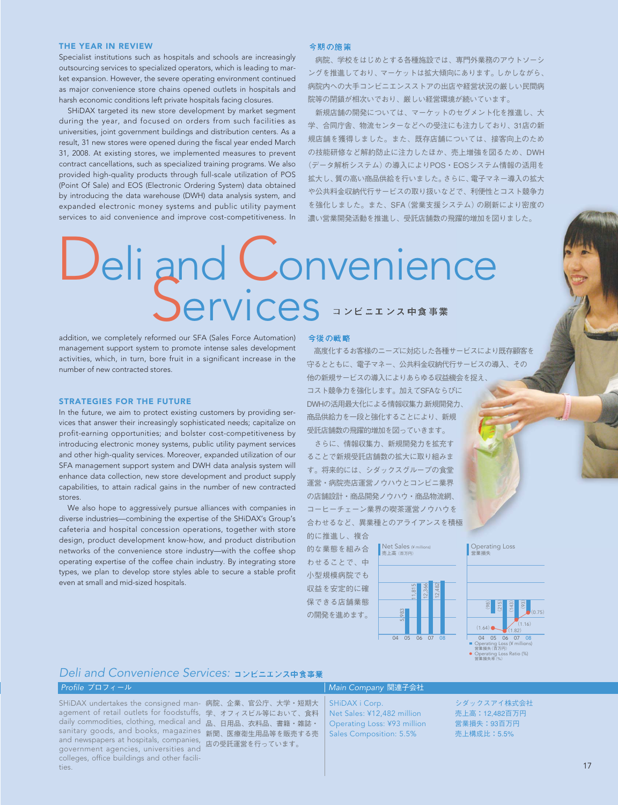Specialist institutions such as hospitals and schools are increasingly outsourcing services to specialized operators, which is leading to market expansion. However, the severe operating environment continued as major convenience store chains opened outlets in hospitals and harsh economic conditions left private hospitals facing closures.

SHiDAX targeted its new store development by market segment during the year, and focused on orders from such facilities as universities, joint government buildings and distribution centers. As a result, 31 new stores were opened during the fiscal year ended March 31, 2008. At existing stores, we implemented measures to prevent contract cancellations, such as specialized training programs. We also provided high-quality products through full-scale utilization of POS (Point Of Sale) and EOS (Electronic Ordering System) data obtained by introducing the data warehouse (DWH) data analysis system, and expanded electronic money systems and public utility payment services to aid convenience and improve cost-competitiveness. In

#### 今期の施策

病院、学校をはじめとする各種施設では、専門外業務のアウトソーシ ングを推進しており、マーケットは拡大傾向にあります。しかしながら、 病院内への大手コンビニエンスストアの出店や経営状況の厳しい民間病 院等の閉鎖が相次いでおり、厳しい経営環境が続いています。

新規店舗の開発については、マーケットのセグメント化を推進し、大 学、合同庁舎、物流センターなどへの受注にも注力しており、31店の新 規店舗を獲得しました。また、既存店舗については、接客向上のため の技能研修など解約防止に注力したほか、売上増強を図るため、DWH (データ解析システム)の導入によりPOS・EOSシステム情報の活用を 拡大し、質の高い商品供給を行いました。さらに、電子マネー導入の拡大 や公共料金収納代行サービスの取り扱いなどで、利便性とコスト競争力 を強化しました。また、SFA(営業支援システム)の刷新により密度の 濃い営業開発活動を推進し、受託店舗数の飛躍的増加を図りました。

# Deli and Convenience<br>Services

addition, we completely reformed our SFA (Sales Force Automation) management support system to promote intense sales development activities, which, in turn, bore fruit in a significant increase in the number of new contracted stores.

#### STRATEGIES FOR THE FUTURE

In the future, we aim to protect existing customers by providing services that answer their increasingly sophisticated needs; capitalize on profit-earning opportunities; and bolster cost-competitiveness by introducing electronic money systems, public utility payment services and other high-quality services. Moreover, expanded utilization of our SFA management support system and DWH data analysis system will enhance data collection, new store development and product supply capabilities, to attain radical gains in the number of new contracted stores.

We also hope to aggressively pursue alliances with companies in diverse industries—combining the expertise of the SHiDAX's Group's cafeteria and hospital concession operations, together with store design, product development know-how, and product distribution networks of the convenience store industry—with the coffee shop operating expertise of the coffee chain industry. By integrating store types, we plan to develop store styles able to secure a stable profit even at small and mid-sized hospitals.

高度化するお客様のニーズに対応した各種サービスにより既存顧客を 守るとともに、電子マネー、公共料金収納代行サービスの導入、その 他の新規サービスの導入によりあらゆる収益機会を捉え、 コスト競争力を強化します。加えてSFAならびに DWHの活用最大化による情報収集力、新規開発力、 商品供給力を一段と強化することにより、新規 受託店舗数の飛躍的増加を図っていきます。

さらに、情報収集力、新規開発力を拡充す ることで新規受託店舗数の拡大に取り組みま す。将来的には、シダックスグループの食堂 運営・病院売店運営ノウハウとコンビニ業界 の店舗設計・商品開発ノウハウ・商品物流網、 コーヒーチェーン業界の喫茶運営ノウハウを 合わせるなど、異業種とのアライアンスを積極 的に推進し、複合

的な業態を組み合 わせることで、中 小型規模病院でも 収益を安定的に確 保できる店舗業態 の開発を進めます。





Operating Loss

## *Deli and Convenience Services:*

SHiDAX undertakes the consigned man- 病院、企業、官公庁、大学・短期大 agement of retail outlets for foodstuffs, 学、オフィスビル等において、食料 daily commodities, clothing, medical and 品、日用品、衣料品、書籍・雑誌・ sanitary goods, and books, magazines <sub>新聞、医療衛生用品等を販売する売</sub> and newspapers at hospitals, companies, 店の受託運営を行っています。 government agencies, universities and colleges, office buildings and other facilities.

#### *Profile* プロフィール *Main Company* 関連子会社

SHiDAX i Corp. Net Sales: ¥12,482 million Operating Loss: ¥93 million Sales Composition: 5.5%

シダックスアイ株式会社 売上高:12,482百万円 営業損失:93百万円 売上構成比:5.5%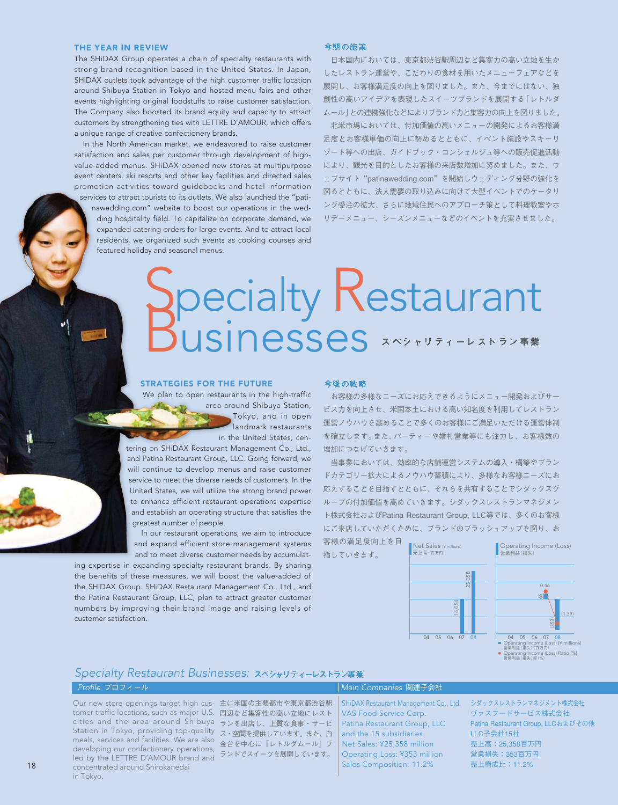The SHiDAX Group operates a chain of specialty restaurants with strong brand recognition based in the United States. In Japan, SHiDAX outlets took advantage of the high customer traffic location around Shibuya Station in Tokyo and hosted menu fairs and other events highlighting original foodstuffs to raise customer satisfaction. The Company also boosted its brand equity and capacity to attract customers by strengthening ties with LETTRE D'AMOUR, which offers a unique range of creative confectionery brands.

In the North American market, we endeavored to raise customer satisfaction and sales per customer through development of highvalue-added menus. SHiDAX opened new stores at multipurpose event centers, ski resorts and other key facilities and directed sales promotion activities toward guidebooks and hotel information services to attract tourists to its outlets. We also launched the "pati-

nawedding.com" website to boost our operations in the wedding hospitality field. To capitalize on corporate demand, we expanded catering orders for large events. And to attract local residents, we organized such events as cooking courses and featured holiday and seasonal menus.

#### 今期の施策

日本国内においては、東京都渋谷駅周辺など集客力の高い立地を生か したレストラン運営や、こだわりの食材を用いたメニューフェアなどを 展開し、お客様満足度の向上を図りました。また、今までにはない、独 創性の高いアイデアを表現したスイーツブランドを展開する「レトルダ ムール」との連携強化などによりブランド力と集客力の向上を図りました。

北米市場においては、付加価値の高いメニューの開発によるお客様満 足度とお客様単価の向上に努めるとともに、イベント施設やスキーリ ゾート等への出店、ガイドブック・コンシェルジュ等への販売促進活動 により、観光を目的としたお客様の来店数増加に努めました。また、ウ ェブサイト"patinawedding.com"を開始しウェディング分野の強化を 図るとともに、法人需要の取り込みに向けて大型イベントでのケータリ ング受注の拡大、さらに地域住民へのアプローチ策として料理教室やホ リデーメニュー、シーズンメニューなどのイベントを充実させました。

# Decialty Restaurant

#### STRATEGIES FOR THE FUTURE

We plan to open restaurants in the high-traffic area around Shibuya Station, Tokyo, and in open landmark restaurants in the United States, cen-

tering on SHiDAX Restaurant Management Co., Ltd., and Patina Restaurant Group, LLC. Going forward, we will continue to develop menus and raise customer service to meet the diverse needs of customers. In the United States, we will utilize the strong brand power to enhance efficient restaurant operations expertise and establish an operating structure that satisfies the greatest number of people.

In our restaurant operations, we aim to introduce and expand efficient store management systems and to meet diverse customer needs by accumulat-

ing expertise in expanding specialty restaurant brands. By sharing the benefits of these measures, we will boost the value-added of the SHiDAX Group. SHiDAX Restaurant Management Co., Ltd., and the Patina Restaurant Group, LLC, plan to attract greater customer numbers by improving their brand image and raising levels of customer satisfaction.

#### 今後の戦略

お客様の多様なニーズにお応えできるようにメニュー開発およびサー ビス力を向上させ、米国本土における高い知名度を利用してレストラン 運営ノウハウを高めることで多くのお客様にご満足いただける運営体制 を確立します。また、パーティーや婚礼営業等にも注力し、お客様数の 増加につなげていきます。

当事業においては、効率的な店舗運営システムの導入・構築やブラン ドカテゴリー拡大によるノウハウ蓄積により、多様なお客様ニーズにお 応えすることを目指すとともに、それらを共有することでシダックスグ ループの付加価値を高めていきます。シダックスレストランマネジメン ト株式会社およびPatina Restaurant Group, LLC等では、多くのお客様 にご来店していただくために、ブランドのブラッシュアップを図り、お

客様の満足度向上を目 指していきます。



### *Specialty Restaurant Businesses:*

#### *Profile* プロフィール *Main Companies* 関連子会社 主に米国の主要都市や東京都渋谷駅 周辺など集客性の高い立地にレスト cities and the area around Shibuya ランを出店し、上質な食事・サービ Station in Tokyo, providing top-quality ス・空間を提供しています。また、白 meals, services and facilities. We are also 金台を中心に『レトルダムール』ブ developing our confectionery operations, ニュピーション・グラム アプライ Our new store openings target high customer traffic locations, such as major U.S. led by the LETTRE D'AMOUR brand and

concentrated around Shirokanedai

in Tokyo.

SHiDAX Restaurant Management Co., Ltd. VAS Food Service Corp. Patina Restaurant Group, LLC and the 15 subsidiaries Net Sales: ¥25,358 million Operating Loss: ¥353 million Sales Composition: 11.2%

シダックスレストランマネジメント株式会社 ヴァスフードサービス株式会社 Patina Restaurant Group, LLCおよびその他 LLC子会社15社 売上高:25,358百万円 営業損失:353百万円 売上構成比:11.2%